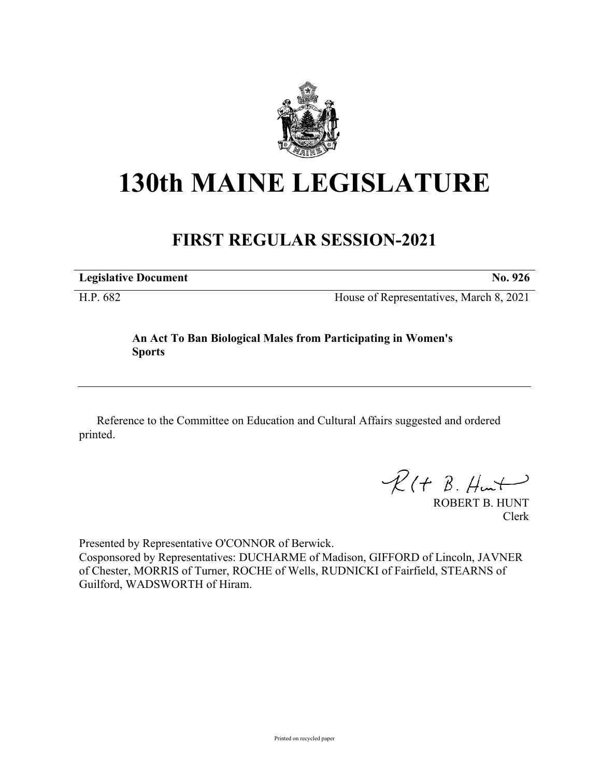

## **130th MAINE LEGISLATURE**

## **FIRST REGULAR SESSION-2021**

**Legislative Document No. 926**

H.P. 682 House of Representatives, March 8, 2021

## **An Act To Ban Biological Males from Participating in Women's Sports**

Reference to the Committee on Education and Cultural Affairs suggested and ordered printed.

 $R(H B. H<sub>un</sub>+)$ 

ROBERT B. HUNT Clerk

Presented by Representative O'CONNOR of Berwick.

Cosponsored by Representatives: DUCHARME of Madison, GIFFORD of Lincoln, JAVNER of Chester, MORRIS of Turner, ROCHE of Wells, RUDNICKI of Fairfield, STEARNS of Guilford, WADSWORTH of Hiram.